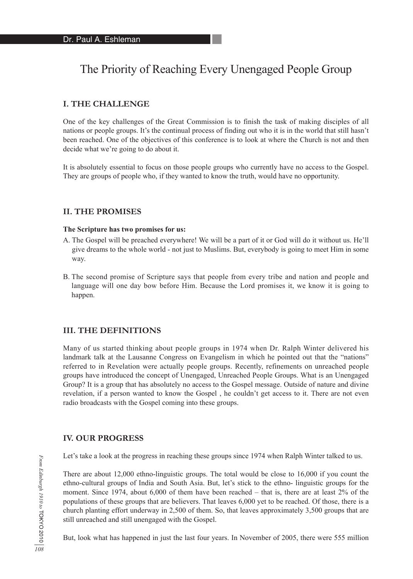# The Priority of Reaching Every Unengaged People Group

## **I. THE CHALLENGE**

One of the key challenges of the Great Commission is to finish the task of making disciples of all nations or people groups. It's the continual process of finding out who it is in the world that still hasn't been reached. One of the objectives of this conference is to look at where the Church is not and then decide what we're going to do about it.

It is absolutely essential to focus on those people groups who currently have no access to the Gospel. They are groups of people who, if they wanted to know the truth, would have no opportunity.

## **II. THE PROMISES**

#### **The Scripture has two promises for us:**

- A. The Gospel will be preached everywhere! We will be a part of it or God will do it without us. He'll give dreams to the whole world - not just to Muslims. But, everybody is going to meet Him in some way.
- B. The second promise of Scripture says that people from every tribe and nation and people and language will one day bow before Him. Because the Lord promises it, we know it is going to happen.

## **III. THE DEFINITIONS**

Many of us started thinking about people groups in 1974 when Dr. Ralph Winter delivered his landmark talk at the Lausanne Congress on Evangelism in which he pointed out that the "nations" referred to in Revelation were actually people groups. Recently, refinements on unreached people groups have introduced the concept of Unengaged, Unreached People Groups. What is an Unengaged Group? It is a group that has absolutely no access to the Gospel message. Outside of nature and divine revelation, if a person wanted to know the Gospel , he couldn't get access to it. There are not even radio broadcasts with the Gospel coming into these groups.

#### **IV. OUR PROGRESS**

Let's take a look at the progress in reaching these groups since 1974 when Ralph Winter talked to us.

There are about 12,000 ethno-linguistic groups. The total would be close to 16,000 if you count the ethno-cultural groups of India and South Asia. But, let's stick to the ethno- linguistic groups for the moment. Since 1974, about 6,000 of them have been reached – that is, there are at least 2% of the populations of these groups that are believers. That leaves 6,000 yet to be reached. Of those, there is a church planting effort underway in 2,500 of them. So, that leaves approximately 3,500 groups that are still unreached and still unengaged with the Gospel.

But, look what has happened in just the last four years. In November of 2005, there were 555 million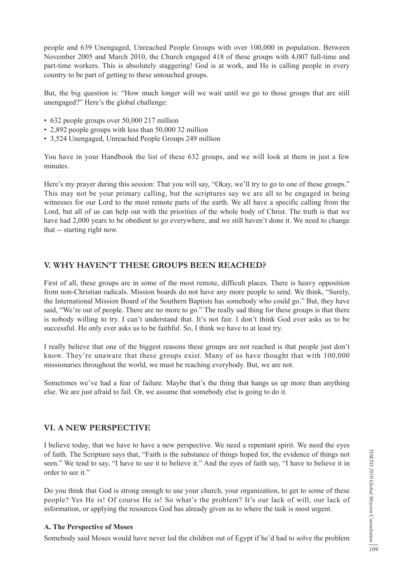people and 639 Unengaged, Unreached People Groups with over 100,000 in population. Between November 2005 and March 2010, the Church engaged 418 of these groups with 4,007 full-time and part-time workers. This is absolutely staggering! God is at work, and He is calling people in every country to be part of getting to these untouched groups.

But, the big question is: "How much longer will we wait until we go to those groups that are still unengaged?" Here's the global challenge:

- 632 people groups over 50,000 217 million
- 2,892 people groups with less than 50,000 32 million
- 3,524 Unengaged, Unreached People Groups 249 million

You have in your Handbook the list of these 632 groups, and we will look at them in just a few minutes.

Here's my prayer during this session: That you will say, "Okay, we'll try to go to one of these groups." This may not be your primary calling, but the scriptures say we are all to be engaged in being witnesses for our Lord to the most remote parts of the earth. We all have a specific calling from the Lord, but all of us can help out with the priorities of the whole body of Christ. The truth is that we have had 2,000 years to be obedient to go everywhere, and we still haven't done it. We need to change that -- starting right now.

# **V. WHY HAVEN'T THESE GROUPS BEEN REACHED?**

First of all, these groups are in some of the most remote, difficult places. There is heavy opposition from non-Christian radicals. Mission boards do not have any more people to send. We think, "Surely, the International Mission Board of the Southern Baptists has somebody who could go." But, they have said, "We're out of people. There are no more to go." The really sad thing for these groups is that there is nobody willing to try. I can't understand that. It's not fair. I don't think God ever asks us to be successful. He only ever asks us to be faithful. So, I think we have to at least try.

I really believe that one of the biggest reasons these groups are not reached is that people just don't know. They're unaware that these groups exist. Many of us have thought that with 100,000 missionaries throughout the world, we must be reaching everybody. But, we are not.

Sometimes we've had a fear of failure. Maybe that's the thing that hangs us up more than anything else. We are just afraid to fail. Or, we assume that somebody else is going to do it.

## **VI. A NEW PERSPECTIVE**

I believe today, that we have to have a new perspective. We need a repentant spirit. We need the eyes of faith. The Scripture says that, "Faith is the substance of things hoped for, the evidence of things not seen." We tend to say, "I have to see it to believe it." And the eyes of faith say, "I have to believe it in order to see it."

Do you think that God is strong enough to use your church, your organization, to get to some of these people? Yes He is! Of course He is! So what's the problem? It's our lack of will, our lack of information, or applying the resources God has already given us to where the task is most urgent.

#### **A. The Perspective of Moses**

Somebody said Moses would have never led the children out of Egypt if he'd had to solve the problem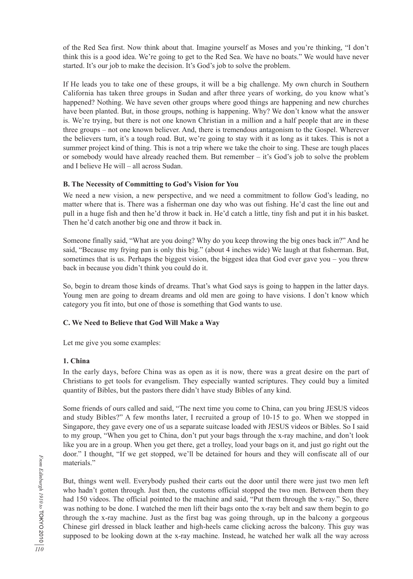of the Red Sea first. Now think about that. Imagine yourself as Moses and you're thinking, "I don't think this is a good idea. We're going to get to the Red Sea. We have no boats." We would have never started. It's our job to make the decision. It's God's job to solve the problem.

If He leads you to take one of these groups, it will be a big challenge. My own church in Southern California has taken three groups in Sudan and after three years of working, do you know what's happened? Nothing. We have seven other groups where good things are happening and new churches have been planted. But, in those groups, nothing is happening. Why? We don't know what the answer is. We're trying, but there is not one known Christian in a million and a half people that are in these three groups – not one known believer. And, there is tremendous antagonism to the Gospel. Wherever the believers turn, it's a tough road. But, we're going to stay with it as long as it takes. This is not a summer project kind of thing. This is not a trip where we take the choir to sing. These are tough places or somebody would have already reached them. But remember – it's God's job to solve the problem and I believe He will – all across Sudan.

## **B. The Necessity of Committing to God's Vision for You**

We need a new vision, a new perspective, and we need a commitment to follow God's leading, no matter where that is. There was a fisherman one day who was out fishing. He'd cast the line out and pull in a huge fish and then he'd throw it back in. He'd catch a little, tiny fish and put it in his basket. Then he'd catch another big one and throw it back in.

Someone finally said, "What are you doing? Why do you keep throwing the big ones back in?" And he said, "Because my frying pan is only this big." (about 4 inches wide) We laugh at that fisherman. But, sometimes that is us. Perhaps the biggest vision, the biggest idea that God ever gave you – you threw back in because you didn't think you could do it.

So, begin to dream those kinds of dreams. That's what God says is going to happen in the latter days. Young men are going to dream dreams and old men are going to have visions. I don't know which category you fit into, but one of those is something that God wants to use.

# **C. We Need to Believe that God Will Make a Way**

Let me give you some examples:

# **1. China**

In the early days, before China was as open as it is now, there was a great desire on the part of Christians to get tools for evangelism. They especially wanted scriptures. They could buy a limited quantity of Bibles, but the pastors there didn't have study Bibles of any kind.

Some friends of ours called and said, "The next time you come to China, can you bring JESUS videos and study Bibles?" A few months later, I recruited a group of 10-15 to go. When we stopped in Singapore, they gave every one of us a separate suitcase loaded with JESUS videos or Bibles. So I said to my group, "When you get to China, don't put your bags through the x-ray machine, and don't look like you are in a group. When you get there, get a trolley, load your bags on it, and just go right out the door." I thought, "If we get stopped, we'll be detained for hours and they will confiscate all of our materials."

But, things went well. Everybody pushed their carts out the door until there were just two men left who hadn't gotten through. Just then, the customs official stopped the two men. Between them they had 150 videos. The official pointed to the machine and said, "Put them through the x-ray." So, there was nothing to be done. I watched the men lift their bags onto the x-ray belt and saw them begin to go through the x-ray machine. Just as the first bag was going through, up in the balcony a gorgeous Chinese girl dressed in black leather and high-heels came clicking across the balcony. This guy was supposed to be looking down at the x-ray machine. Instead, he watched her walk all the way across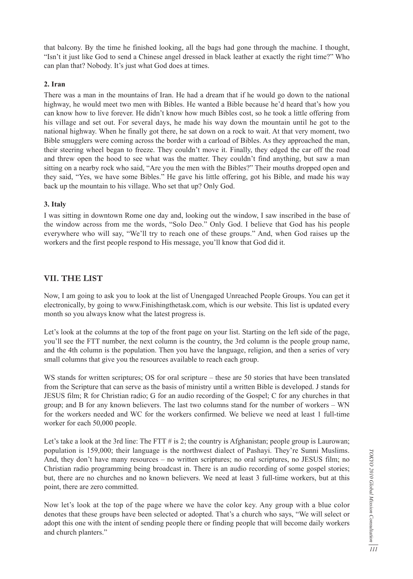that balcony. By the time he finished looking, all the bags had gone through the machine. I thought, "Isn't it just like God to send a Chinese angel dressed in black leather at exactly the right time?" Who can plan that? Nobody. It's just what God does at times.

# **2. Iran**

There was a man in the mountains of Iran. He had a dream that if he would go down to the national highway, he would meet two men with Bibles. He wanted a Bible because he'd heard that's how you can know how to live forever. He didn't know how much Bibles cost, so he took a little offering from his village and set out. For several days, he made his way down the mountain until he got to the national highway. When he finally got there, he sat down on a rock to wait. At that very moment, two Bible smugglers were coming across the border with a carload of Bibles. As they approached the man, their steering wheel began to freeze. They couldn't move it. Finally, they edged the car off the road and threw open the hood to see what was the matter. They couldn't find anything, but saw a man sitting on a nearby rock who said, "Are you the men with the Bibles?" Their mouths dropped open and they said, "Yes, we have some Bibles." He gave his little offering, got his Bible, and made his way back up the mountain to his village. Who set that up? Only God.

# **3. Italy**

I was sitting in downtown Rome one day and, looking out the window, I saw inscribed in the base of the window across from me the words, "Solo Deo." Only God. I believe that God has his people everywhere who will say, "We'll try to reach one of these groups." And, when God raises up the workers and the first people respond to His message, you'll know that God did it.

# **VII. THE LIST**

Now, I am going to ask you to look at the list of Unengaged Unreached People Groups. You can get it electronically, by going to www.Finishingthetask.com, which is our website. This list is updated every month so you always know what the latest progress is.

Let's look at the columns at the top of the front page on your list. Starting on the left side of the page, you'll see the FTT number, the next column is the country, the 3rd column is the people group name, and the 4th column is the population. Then you have the language, religion, and then a series of very small columns that give you the resources available to reach each group.

WS stands for written scriptures; OS for oral scripture – these are 50 stories that have been translated from the Scripture that can serve as the basis of ministry until a written Bible is developed. J stands for JESUS film; R for Christian radio; G for an audio recording of the Gospel; C for any churches in that group; and B for any known believers. The last two columns stand for the number of workers – WN for the workers needed and WC for the workers confirmed. We believe we need at least 1 full-time worker for each 50,000 people.

Let's take a look at the 3rd line: The FTT  $\#$  is 2; the country is Afghanistan; people group is Laurowan; population is 159,000; their language is the northwest dialect of Pashayi. They're Sunni Muslims. And, they don't have many resources – no written scriptures; no oral scriptures, no JESUS film; no Christian radio programming being broadcast in. There is an audio recording of some gospel stories; but, there are no churches and no known believers. We need at least 3 full-time workers, but at this point, there are zero committed.

Now let's look at the top of the page where we have the color key. Any group with a blue color denotes that these groups have been selected or adopted. That's a church who says, "We will select or adopt this one with the intent of sending people there or finding people that will become daily workers and church planters."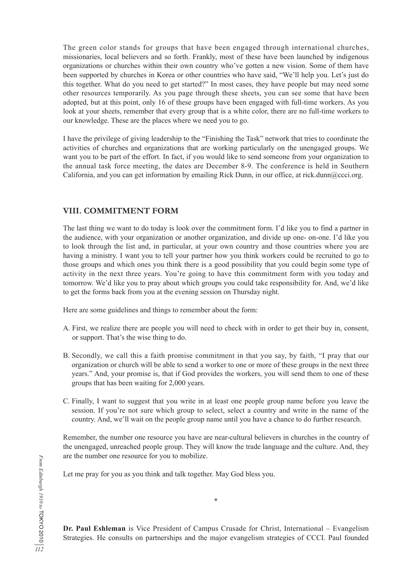The green color stands for groups that have been engaged through international churches, missionaries, local believers and so forth. Frankly, most of these have been launched by indigenous organizations or churches within their own country who've gotten a new vision. Some of them have been supported by churches in Korea or other countries who have said, "We'll help you. Let's just do this together. What do you need to get started?" In most cases, they have people but may need some other resources temporarily. As you page through these sheets, you can see some that have been adopted, but at this point, only 16 of these groups have been engaged with full-time workers. As you look at your sheets, remember that every group that is a white color, there are no full-time workers to our knowledge. These are the places where we need you to go.

I have the privilege of giving leadership to the "Finishing the Task" network that tries to coordinate the activities of churches and organizations that are working particularly on the unengaged groups. We want you to be part of the effort. In fact, if you would like to send someone from your organization to the annual task force meeting, the dates are December 8-9. The conference is held in Southern California, and you can get information by emailing Rick Dunn, in our office, at rick.dunn@ccci.org.

# **VIII. COMMITMENT FORM**

The last thing we want to do today is look over the commitment form. I'd like you to find a partner in the audience, with your organization or another organization, and divide up one- on-one. I'd like you to look through the list and, in particular, at your own country and those countries where you are having a ministry. I want you to tell your partner how you think workers could be recruited to go to those groups and which ones you think there is a good possibility that you could begin some type of activity in the next three years. You're going to have this commitment form with you today and tomorrow. We'd like you to pray about which groups you could take responsibility for. And, we'd like to get the forms back from you at the evening session on Thursday night.

Here are some guidelines and things to remember about the form:

- A. First, we realize there are people you will need to check with in order to get their buy in, consent, or support. That's the wise thing to do.
- B. Secondly, we call this a faith promise commitment in that you say, by faith, "I pray that our organization or church will be able to send a worker to one or more of these groups in the next three years." And, your promise is, that if God provides the workers, you will send them to one of these groups that has been waiting for 2,000 years.
- C. Finally, I want to suggest that you write in at least one people group name before you leave the session. If you're not sure which group to select, select a country and write in the name of the country. And, we'll wait on the people group name until you have a chance to do further research.

Remember, the number one resource you have are near-cultural believers in churches in the country of the unengaged, unreached people group. They will know the trade language and the culture. And, they are the number one resource for you to mobilize.

Let me pray for you as you think and talk together. May God bless you.

**Dr. Paul Eshleman** is Vice President of Campus Crusade for Christ, International – Evangelism Strategies. He consults on partnerships and the major evangelism strategies of CCCI. Paul founded

\*